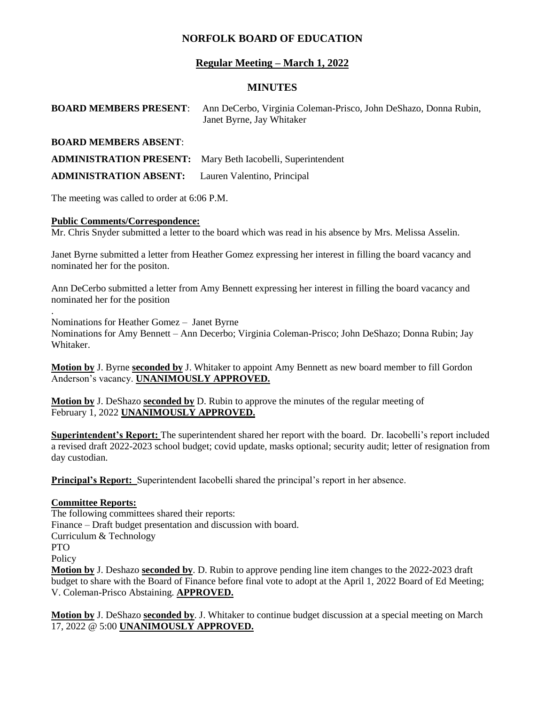# **NORFOLK BOARD OF EDUCATION**

# **Regular Meeting – March 1, 2022**

### **MINUTES**

**BOARD MEMBERS PRESENT**: Ann DeCerbo, Virginia Coleman-Prisco, John DeShazo, Donna Rubin, Janet Byrne, Jay Whitaker

### **BOARD MEMBERS ABSENT**:

**ADMINISTRATION PRESENT:** Mary Beth Iacobelli, Superintendent

**ADMINISTRATION ABSENT:** Lauren Valentino, Principal

The meeting was called to order at 6:06 P.M.

#### **Public Comments/Correspondence:**

Mr. Chris Snyder submitted a letter to the board which was read in his absence by Mrs. Melissa Asselin.

Janet Byrne submitted a letter from Heather Gomez expressing her interest in filling the board vacancy and nominated her for the positon.

Ann DeCerbo submitted a letter from Amy Bennett expressing her interest in filling the board vacancy and nominated her for the position

Nominations for Heather Gomez – Janet Byrne

Nominations for Amy Bennett – Ann Decerbo; Virginia Coleman-Prisco; John DeShazo; Donna Rubin; Jay Whitaker.

**Motion by** J. Byrne **seconded by** J. Whitaker to appoint Amy Bennett as new board member to fill Gordon Anderson's vacancy. **UNANIMOUSLY APPROVED.**

**Motion by** J. DeShazo **seconded by** D. Rubin to approve the minutes of the regular meeting of February 1, 2022 **UNANIMOUSLY APPROVED.**

**Superintendent's Report:** The superintendent shared her report with the board. Dr. Iacobelli's report included a revised draft 2022-2023 school budget; covid update, masks optional; security audit; letter of resignation from day custodian.

**Principal's Report:** Superintendent Iacobelli shared the principal's report in her absence.

## **Committee Reports:**

.

The following committees shared their reports: Finance – Draft budget presentation and discussion with board. Curriculum & Technology PTO **Policy Motion by** J. Deshazo **seconded by**. D. Rubin to approve pending line item changes to the 2022-2023 draft budget to share with the Board of Finance before final vote to adopt at the April 1, 2022 Board of Ed Meeting; V. Coleman-Prisco Abstaining. **APPROVED.**

**Motion by** J. DeShazo **seconded by**. J. Whitaker to continue budget discussion at a special meeting on March 17, 2022 @ 5:00 **UNANIMOUSLY APPROVED.**